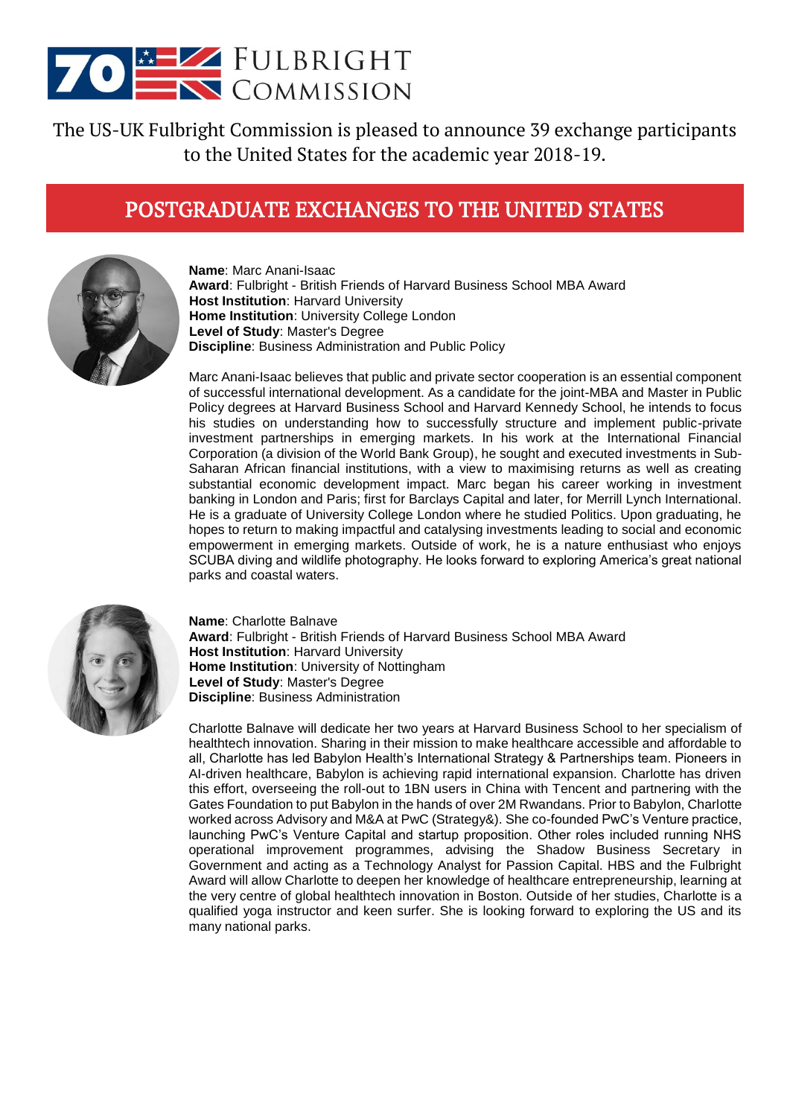

The US-UK Fulbright Commission is pleased to announce 39 exchange participants to the United States for the academic year 2018-19.

## POSTGRADUATE EXCHANGES TO THE UNITED STATES



**Name**: Marc Anani-Isaac **Award**: Fulbright - British Friends of Harvard Business School MBA Award **Host Institution**: Harvard University **Home Institution**: University College London **Level of Study**: Master's Degree **Discipline**: Business Administration and Public Policy

Marc Anani-Isaac believes that public and private sector cooperation is an essential component of successful international development. As a candidate for the joint-MBA and Master in Public Policy degrees at Harvard Business School and Harvard Kennedy School, he intends to focus his studies on understanding how to successfully structure and implement public-private investment partnerships in emerging markets. In his work at the International Financial Corporation (a division of the World Bank Group), he sought and executed investments in Sub-Saharan African financial institutions, with a view to maximising returns as well as creating substantial economic development impact. Marc began his career working in investment banking in London and Paris; first for Barclays Capital and later, for Merrill Lynch International. He is a graduate of University College London where he studied Politics. Upon graduating, he hopes to return to making impactful and catalysing investments leading to social and economic empowerment in emerging markets. Outside of work, he is a nature enthusiast who enjoys SCUBA diving and wildlife photography. He looks forward to exploring America's great national parks and coastal waters.



**Name**: Charlotte Balnave **Award**: Fulbright - British Friends of Harvard Business School MBA Award **Host Institution**: Harvard University **Home Institution**: University of Nottingham **Level of Study**: Master's Degree **Discipline**: Business Administration

Charlotte Balnave will dedicate her two years at Harvard Business School to her specialism of healthtech innovation. Sharing in their mission to make healthcare accessible and affordable to all, Charlotte has led Babylon Health's International Strategy & Partnerships team. Pioneers in AI-driven healthcare, Babylon is achieving rapid international expansion. Charlotte has driven this effort, overseeing the roll-out to 1BN users in China with Tencent and partnering with the Gates Foundation to put Babylon in the hands of over 2M Rwandans. Prior to Babylon, Charlotte worked across Advisory and M&A at PwC (Strategy&). She co-founded PwC's Venture practice, launching PwC's Venture Capital and startup proposition. Other roles included running NHS operational improvement programmes, advising the Shadow Business Secretary in Government and acting as a Technology Analyst for Passion Capital. HBS and the Fulbright Award will allow Charlotte to deepen her knowledge of healthcare entrepreneurship, learning at the very centre of global healthtech innovation in Boston. Outside of her studies, Charlotte is a qualified yoga instructor and keen surfer. She is looking forward to exploring the US and its many national parks.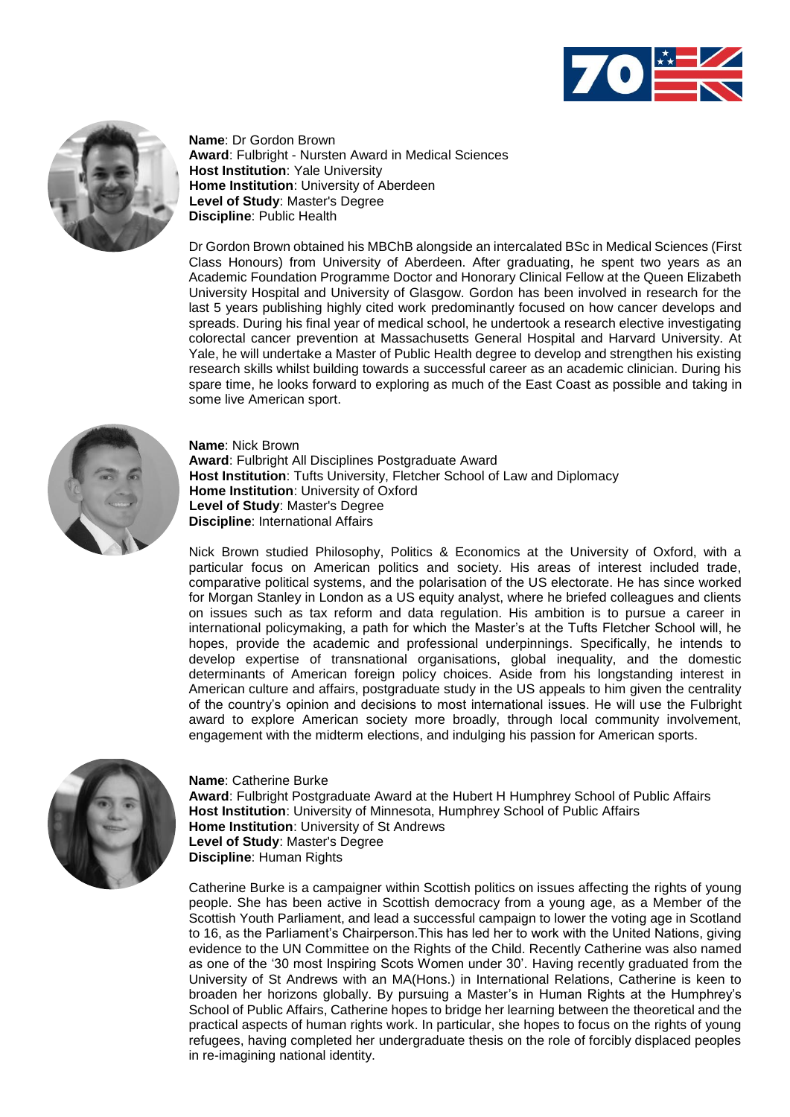



**Name**: Dr Gordon Brown **Award**: Fulbright - Nursten Award in Medical Sciences **Host Institution**: Yale University **Home Institution**: University of Aberdeen **Level of Study**: Master's Degree **Discipline**: Public Health

Dr Gordon Brown obtained his MBChB alongside an intercalated BSc in Medical Sciences (First Class Honours) from University of Aberdeen. After graduating, he spent two years as an Academic Foundation Programme Doctor and Honorary Clinical Fellow at the Queen Elizabeth University Hospital and University of Glasgow. Gordon has been involved in research for the last 5 years publishing highly cited work predominantly focused on how cancer develops and spreads. During his final year of medical school, he undertook a research elective investigating colorectal cancer prevention at Massachusetts General Hospital and Harvard University. At Yale, he will undertake a Master of Public Health degree to develop and strengthen his existing research skills whilst building towards a successful career as an academic clinician. During his spare time, he looks forward to exploring as much of the East Coast as possible and taking in some live American sport.



**Name**: Nick Brown **Award**: Fulbright All Disciplines Postgraduate Award **Host Institution**: Tufts University, Fletcher School of Law and Diplomacy **Home Institution**: University of Oxford **Level of Study**: Master's Degree **Discipline**: International Affairs

Nick Brown studied Philosophy, Politics & Economics at the University of Oxford, with a particular focus on American politics and society. His areas of interest included trade, comparative political systems, and the polarisation of the US electorate. He has since worked for Morgan Stanley in London as a US equity analyst, where he briefed colleagues and clients on issues such as tax reform and data regulation. His ambition is to pursue a career in international policymaking, a path for which the Master's at the Tufts Fletcher School will, he hopes, provide the academic and professional underpinnings. Specifically, he intends to develop expertise of transnational organisations, global inequality, and the domestic determinants of American foreign policy choices. Aside from his longstanding interest in American culture and affairs, postgraduate study in the US appeals to him given the centrality of the country's opinion and decisions to most international issues. He will use the Fulbright award to explore American society more broadly, through local community involvement, engagement with the midterm elections, and indulging his passion for American sports.



**Name**: Catherine Burke **Award**: Fulbright Postgraduate Award at the Hubert H Humphrey School of Public Affairs **Host Institution**: University of Minnesota, Humphrey School of Public Affairs **Home Institution**: University of St Andrews **Level of Study**: Master's Degree **Discipline**: Human Rights

Catherine Burke is a campaigner within Scottish politics on issues affecting the rights of young people. She has been active in Scottish democracy from a young age, as a Member of the Scottish Youth Parliament, and lead a successful campaign to lower the voting age in Scotland to 16, as the Parliament's Chairperson.This has led her to work with the United Nations, giving evidence to the UN Committee on the Rights of the Child. Recently Catherine was also named as one of the '30 most Inspiring Scots Women under 30'. Having recently graduated from the University of St Andrews with an MA(Hons.) in International Relations, Catherine is keen to broaden her horizons globally. By pursuing a Master's in Human Rights at the Humphrey's School of Public Affairs, Catherine hopes to bridge her learning between the theoretical and the practical aspects of human rights work. In particular, she hopes to focus on the rights of young refugees, having completed her undergraduate thesis on the role of forcibly displaced peoples in re-imagining national identity.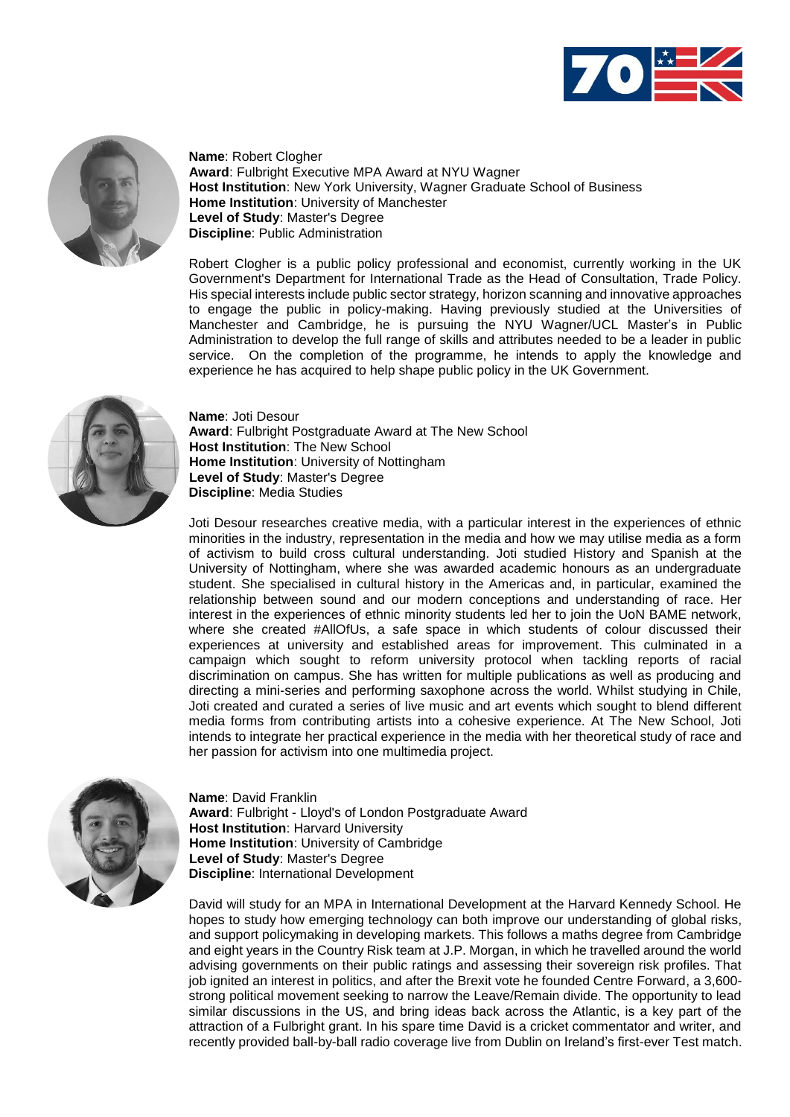



**Name**: Robert Clogher **Award**: Fulbright Executive MPA Award at NYU Wagner **Host Institution**: New York University, Wagner Graduate School of Business **Home Institution**: University of Manchester **Level of Study**: Master's Degree **Discipline**: Public Administration

Robert Clogher is a public policy professional and economist, currently working in the UK Government's Department for International Trade as the Head of Consultation, Trade Policy. His special interests include public sector strategy, horizon scanning and innovative approaches to engage the public in policy-making. Having previously studied at the Universities of Manchester and Cambridge, he is pursuing the NYU Wagner/UCL Master's in Public Administration to develop the full range of skills and attributes needed to be a leader in public service. On the completion of the programme, he intends to apply the knowledge and experience he has acquired to help shape public policy in the UK Government.



**Name**: Joti Desour **Award**: Fulbright Postgraduate Award at The New School **Host Institution**: The New School **Home Institution**: University of Nottingham **Level of Study**: Master's Degree **Discipline**: Media Studies

Joti Desour researches creative media, with a particular interest in the experiences of ethnic minorities in the industry, representation in the media and how we may utilise media as a form of activism to build cross cultural understanding. Joti studied History and Spanish at the University of Nottingham, where she was awarded academic honours as an undergraduate student. She specialised in cultural history in the Americas and, in particular, examined the relationship between sound and our modern conceptions and understanding of race. Her interest in the experiences of ethnic minority students led her to join the UoN BAME network, where she created #AllOfUs, a safe space in which students of colour discussed their experiences at university and established areas for improvement. This culminated in a campaign which sought to reform university protocol when tackling reports of racial discrimination on campus. She has written for multiple publications as well as producing and directing a mini-series and performing saxophone across the world. Whilst studying in Chile, Joti created and curated a series of live music and art events which sought to blend different media forms from contributing artists into a cohesive experience. At The New School, Joti intends to integrate her practical experience in the media with her theoretical study of race and her passion for activism into one multimedia project.



**Name**: David Franklin **Award**: Fulbright - Lloyd's of London Postgraduate Award **Host Institution**: Harvard University **Home Institution**: University of Cambridge **Level of Study**: Master's Degree **Discipline**: International Development

David will study for an MPA in International Development at the Harvard Kennedy School. He hopes to study how emerging technology can both improve our understanding of global risks, and support policymaking in developing markets. This follows a maths degree from Cambridge and eight years in the Country Risk team at J.P. Morgan, in which he travelled around the world advising governments on their public ratings and assessing their sovereign risk profiles. That job ignited an interest in politics, and after the Brexit vote he founded Centre Forward, a 3,600 strong political movement seeking to narrow the Leave/Remain divide. The opportunity to lead similar discussions in the US, and bring ideas back across the Atlantic, is a key part of the attraction of a Fulbright grant. In his spare time David is a cricket commentator and writer, and recently provided ball-by-ball radio coverage live from Dublin on Ireland's first-ever Test match.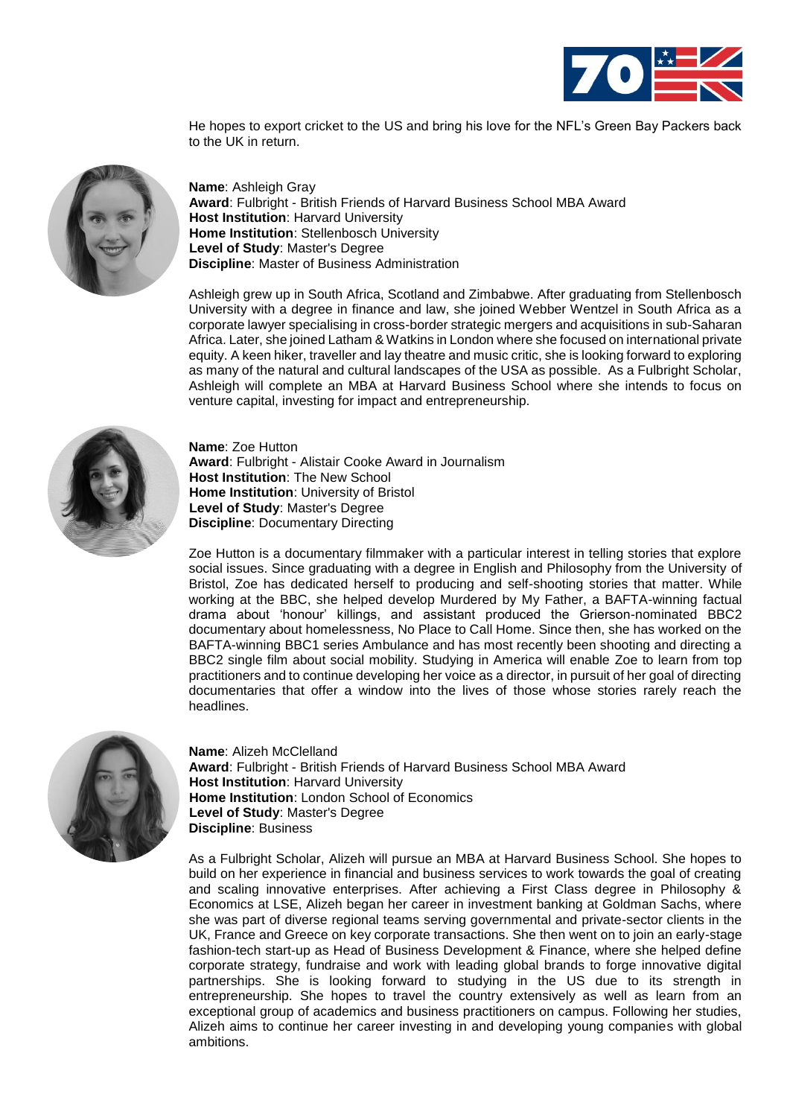

He hopes to export cricket to the US and bring his love for the NFL's Green Bay Packers back to the UK in return.



**Name**: Ashleigh Gray **Award**: Fulbright - British Friends of Harvard Business School MBA Award **Host Institution**: Harvard University **Home Institution**: Stellenbosch University **Level of Study**: Master's Degree **Discipline**: Master of Business Administration

Ashleigh grew up in South Africa, Scotland and Zimbabwe. After graduating from Stellenbosch University with a degree in finance and law, she joined Webber Wentzel in South Africa as a corporate lawyer specialising in cross-border strategic mergers and acquisitions in sub-Saharan Africa. Later, she joined Latham & Watkins in London where she focused on international private equity. A keen hiker, traveller and lay theatre and music critic, she is looking forward to exploring as many of the natural and cultural landscapes of the USA as possible. As a Fulbright Scholar, Ashleigh will complete an MBA at Harvard Business School where she intends to focus on venture capital, investing for impact and entrepreneurship.



**Name**: Zoe Hutton **Award**: Fulbright - Alistair Cooke Award in Journalism **Host Institution**: The New School **Home Institution**: University of Bristol **Level of Study**: Master's Degree **Discipline**: Documentary Directing

Zoe Hutton is a documentary filmmaker with a particular interest in telling stories that explore social issues. Since graduating with a degree in English and Philosophy from the University of Bristol, Zoe has dedicated herself to producing and self-shooting stories that matter. While working at the BBC, she helped develop Murdered by My Father, a BAFTA-winning factual drama about 'honour' killings, and assistant produced the Grierson-nominated BBC2 documentary about homelessness, No Place to Call Home. Since then, she has worked on the BAFTA-winning BBC1 series Ambulance and has most recently been shooting and directing a BBC2 single film about social mobility. Studying in America will enable Zoe to learn from top practitioners and to continue developing her voice as a director, in pursuit of her goal of directing documentaries that offer a window into the lives of those whose stories rarely reach the headlines.



**Name**: Alizeh McClelland **Award**: Fulbright - British Friends of Harvard Business School MBA Award **Host Institution**: Harvard University **Home Institution**: London School of Economics **Level of Study**: Master's Degree **Discipline**: Business

As a Fulbright Scholar, Alizeh will pursue an MBA at Harvard Business School. She hopes to build on her experience in financial and business services to work towards the goal of creating and scaling innovative enterprises. After achieving a First Class degree in Philosophy & Economics at LSE, Alizeh began her career in investment banking at Goldman Sachs, where she was part of diverse regional teams serving governmental and private-sector clients in the UK, France and Greece on key corporate transactions. She then went on to join an early-stage fashion-tech start-up as Head of Business Development & Finance, where she helped define corporate strategy, fundraise and work with leading global brands to forge innovative digital partnerships. She is looking forward to studying in the US due to its strength in entrepreneurship. She hopes to travel the country extensively as well as learn from an exceptional group of academics and business practitioners on campus. Following her studies, Alizeh aims to continue her career investing in and developing young companies with global ambitions.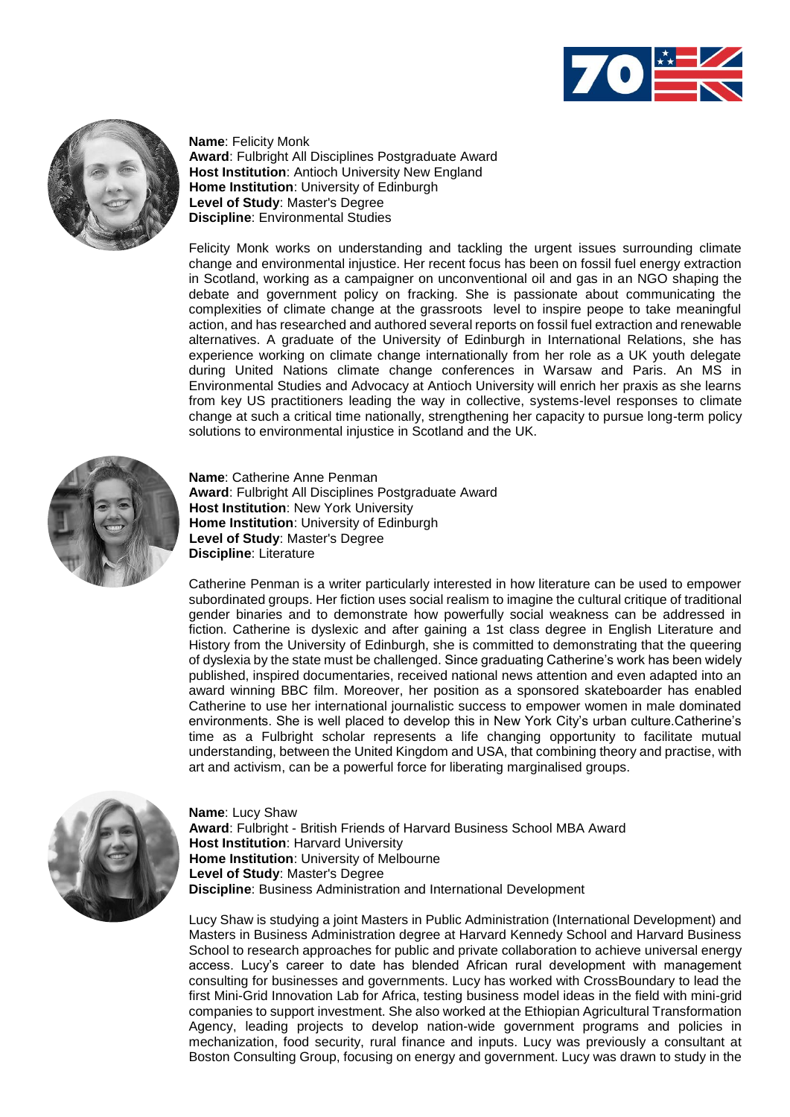



**Name**: Felicity Monk **Award**: Fulbright All Disciplines Postgraduate Award **Host Institution**: Antioch University New England **Home Institution**: University of Edinburgh **Level of Study**: Master's Degree **Discipline**: Environmental Studies

Felicity Monk works on understanding and tackling the urgent issues surrounding climate change and environmental injustice. Her recent focus has been on fossil fuel energy extraction in Scotland, working as a campaigner on unconventional oil and gas in an NGO shaping the debate and government policy on fracking. She is passionate about communicating the complexities of climate change at the grassroots level to inspire peope to take meaningful action, and has researched and authored several reports on fossil fuel extraction and renewable alternatives. A graduate of the University of Edinburgh in International Relations, she has experience working on climate change internationally from her role as a UK youth delegate during United Nations climate change conferences in Warsaw and Paris. An MS in Environmental Studies and Advocacy at Antioch University will enrich her praxis as she learns from key US practitioners leading the way in collective, systems-level responses to climate change at such a critical time nationally, strengthening her capacity to pursue long-term policy solutions to environmental injustice in Scotland and the UK.



**Name**: Catherine Anne Penman **Award**: Fulbright All Disciplines Postgraduate Award **Host Institution**: New York University **Home Institution**: University of Edinburgh **Level of Study**: Master's Degree **Discipline**: Literature

Catherine Penman is a writer particularly interested in how literature can be used to empower subordinated groups. Her fiction uses social realism to imagine the cultural critique of traditional gender binaries and to demonstrate how powerfully social weakness can be addressed in fiction. Catherine is dyslexic and after gaining a 1st class degree in English Literature and History from the University of Edinburgh, she is committed to demonstrating that the queering of dyslexia by the state must be challenged. Since graduating Catherine's work has been widely published, inspired documentaries, received national news attention and even adapted into an award winning BBC film. Moreover, her position as a sponsored skateboarder has enabled Catherine to use her international journalistic success to empower women in male dominated environments. She is well placed to develop this in New York City's urban culture.Catherine's time as a Fulbright scholar represents a life changing opportunity to facilitate mutual understanding, between the United Kingdom and USA, that combining theory and practise, with art and activism, can be a powerful force for liberating marginalised groups.



**Name**: Lucy Shaw **Award**: Fulbright - British Friends of Harvard Business School MBA Award **Host Institution**: Harvard University **Home Institution**: University of Melbourne **Level of Study**: Master's Degree **Discipline**: Business Administration and International Development

Lucy Shaw is studying a joint Masters in Public Administration (International Development) and Masters in Business Administration degree at Harvard Kennedy School and Harvard Business School to research approaches for public and private collaboration to achieve universal energy access. Lucy's career to date has blended African rural development with management consulting for businesses and governments. Lucy has worked with CrossBoundary to lead the first Mini-Grid Innovation Lab for Africa, testing business model ideas in the field with mini-grid companies to support investment. She also worked at the Ethiopian Agricultural Transformation Agency, leading projects to develop nation-wide government programs and policies in mechanization, food security, rural finance and inputs. Lucy was previously a consultant at Boston Consulting Group, focusing on energy and government. Lucy was drawn to study in the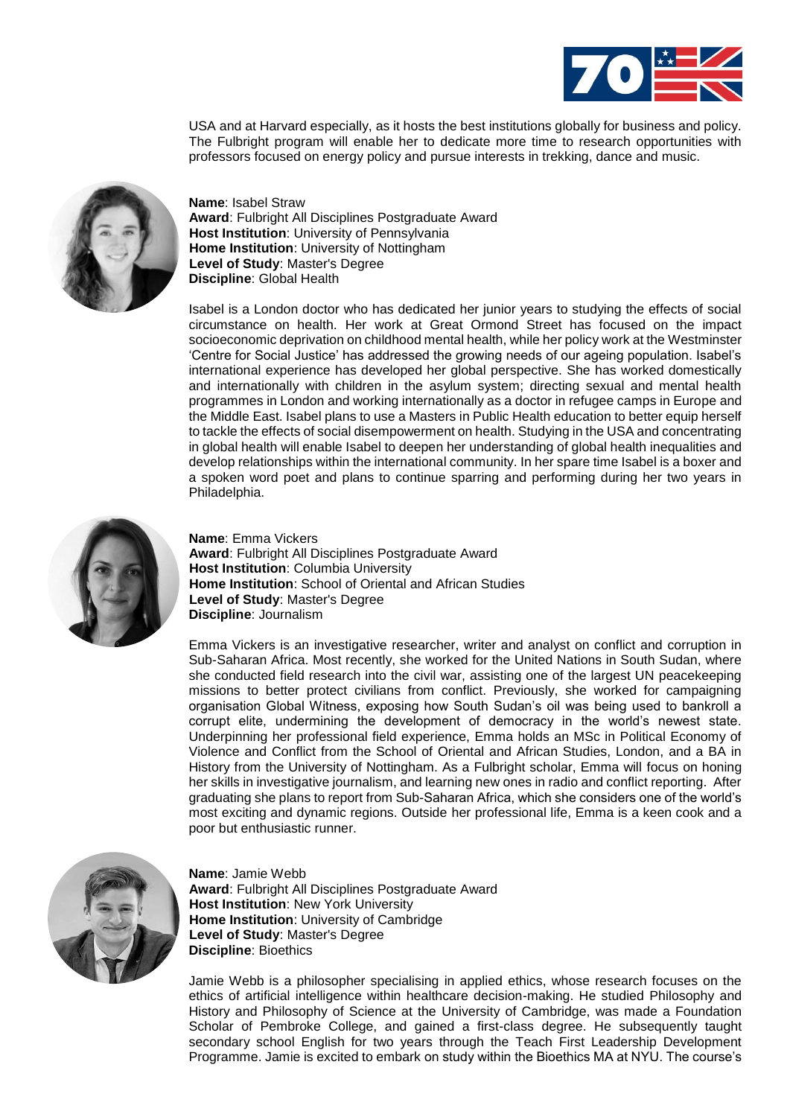

USA and at Harvard especially, as it hosts the best institutions globally for business and policy. The Fulbright program will enable her to dedicate more time to research opportunities with professors focused on energy policy and pursue interests in trekking, dance and music.



**Name**: Isabel Straw **Award**: Fulbright All Disciplines Postgraduate Award **Host Institution**: University of Pennsylvania **Home Institution**: University of Nottingham **Level of Study**: Master's Degree **Discipline**: Global Health

Isabel is a London doctor who has dedicated her junior years to studying the effects of social circumstance on health. Her work at Great Ormond Street has focused on the impact socioeconomic deprivation on childhood mental health, while her policy work at the Westminster 'Centre for Social Justice' has addressed the growing needs of our ageing population. Isabel's international experience has developed her global perspective. She has worked domestically and internationally with children in the asylum system; directing sexual and mental health programmes in London and working internationally as a doctor in refugee camps in Europe and the Middle East. Isabel plans to use a Masters in Public Health education to better equip herself to tackle the effects of social disempowerment on health. Studying in the USA and concentrating in global health will enable Isabel to deepen her understanding of global health inequalities and develop relationships within the international community. In her spare time Isabel is a boxer and a spoken word poet and plans to continue sparring and performing during her two years in Philadelphia.



**Name**: Emma Vickers **Award**: Fulbright All Disciplines Postgraduate Award **Host Institution**: Columbia University **Home Institution**: School of Oriental and African Studies **Level of Study**: Master's Degree **Discipline**: Journalism

Emma Vickers is an investigative researcher, writer and analyst on conflict and corruption in Sub-Saharan Africa. Most recently, she worked for the United Nations in South Sudan, where she conducted field research into the civil war, assisting one of the largest UN peacekeeping missions to better protect civilians from conflict. Previously, she worked for campaigning organisation Global Witness, exposing how South Sudan's oil was being used to bankroll a corrupt elite, undermining the development of democracy in the world's newest state. Underpinning her professional field experience, Emma holds an MSc in Political Economy of Violence and Conflict from the School of Oriental and African Studies, London, and a BA in History from the University of Nottingham. As a Fulbright scholar, Emma will focus on honing her skills in investigative journalism, and learning new ones in radio and conflict reporting. After graduating she plans to report from Sub-Saharan Africa, which she considers one of the world's most exciting and dynamic regions. Outside her professional life, Emma is a keen cook and a poor but enthusiastic runner.



**Name**: Jamie Webb **Award**: Fulbright All Disciplines Postgraduate Award **Host Institution**: New York University **Home Institution**: University of Cambridge **Level of Study**: Master's Degree **Discipline**: Bioethics

Jamie Webb is a philosopher specialising in applied ethics, whose research focuses on the ethics of artificial intelligence within healthcare decision-making. He studied Philosophy and History and Philosophy of Science at the University of Cambridge, was made a Foundation Scholar of Pembroke College, and gained a first-class degree. He subsequently taught secondary school English for two years through the Teach First Leadership Development Programme. Jamie is excited to embark on study within the Bioethics MA at NYU. The course's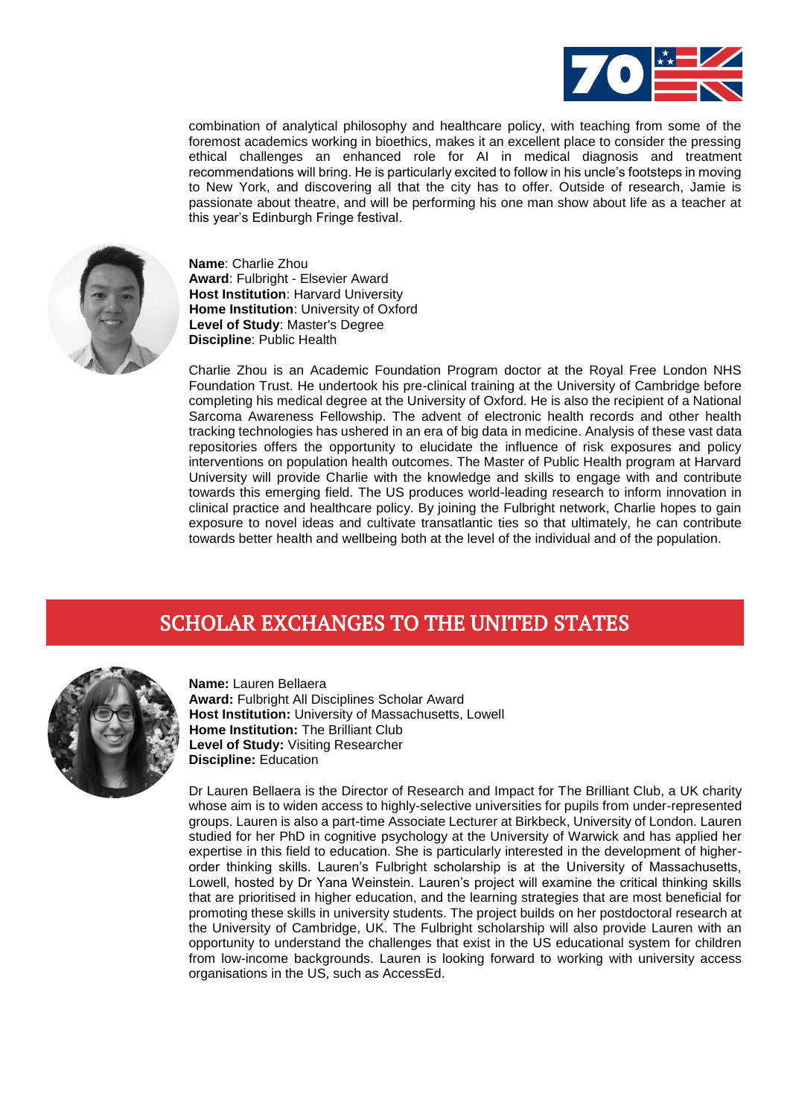

combination of analytical philosophy and healthcare policy, with teaching from some of the foremost academics working in bioethics, makes it an excellent place to consider the pressing ethical challenges an enhanced role for AI in medical diagnosis and treatment recommendations will bring. He is particularly excited to follow in his uncle's footsteps in moving to New York, and discovering all that the city has to offer. Outside of research, Jamie is passionate about theatre, and will be performing his one man show about life as a teacher at this year's Edinburgh Fringe festival.



**Name**: Charlie Zhou **Award**: Fulbright - Elsevier Award **Host Institution**: Harvard University **Home Institution**: University of Oxford **Level of Study**: Master's Degree **Discipline**: Public Health

Charlie Zhou is an Academic Foundation Program doctor at the Royal Free London NHS Foundation Trust. He undertook his pre-clinical training at the University of Cambridge before completing his medical degree at the University of Oxford. He is also the recipient of a National Sarcoma Awareness Fellowship. The advent of electronic health records and other health tracking technologies has ushered in an era of big data in medicine. Analysis of these vast data repositories offers the opportunity to elucidate the influence of risk exposures and policy interventions on population health outcomes. The Master of Public Health program at Harvard University will provide Charlie with the knowledge and skills to engage with and contribute towards this emerging field. The US produces world-leading research to inform innovation in clinical practice and healthcare policy. By joining the Fulbright network, Charlie hopes to gain exposure to novel ideas and cultivate transatlantic ties so that ultimately, he can contribute towards better health and wellbeing both at the level of the individual and of the population.

## SCHOLAR EXCHANGES TO THE UNITED STATES



**Name:** Lauren Bellaera **Award:** Fulbright All Disciplines Scholar Award **Host Institution:** University of Massachusetts, Lowell **Home Institution:** The Brilliant Club **Level of Study:** Visiting Researcher **Discipline:** Education

Dr Lauren Bellaera is the Director of Research and Impact for The Brilliant Club, a UK charity whose aim is to widen access to highly-selective universities for pupils from under-represented groups. Lauren is also a part-time Associate Lecturer at Birkbeck, University of London. Lauren studied for her PhD in cognitive psychology at the University of Warwick and has applied her expertise in this field to education. She is particularly interested in the development of higherorder thinking skills. Lauren's Fulbright scholarship is at the University of Massachusetts, Lowell, hosted by Dr Yana Weinstein. Lauren's project will examine the critical thinking skills that are prioritised in higher education, and the learning strategies that are most beneficial for promoting these skills in university students. The project builds on her postdoctoral research at the University of Cambridge, UK. The Fulbright scholarship will also provide Lauren with an opportunity to understand the challenges that exist in the US educational system for children from low-income backgrounds. Lauren is looking forward to working with university access organisations in the US, such as AccessEd.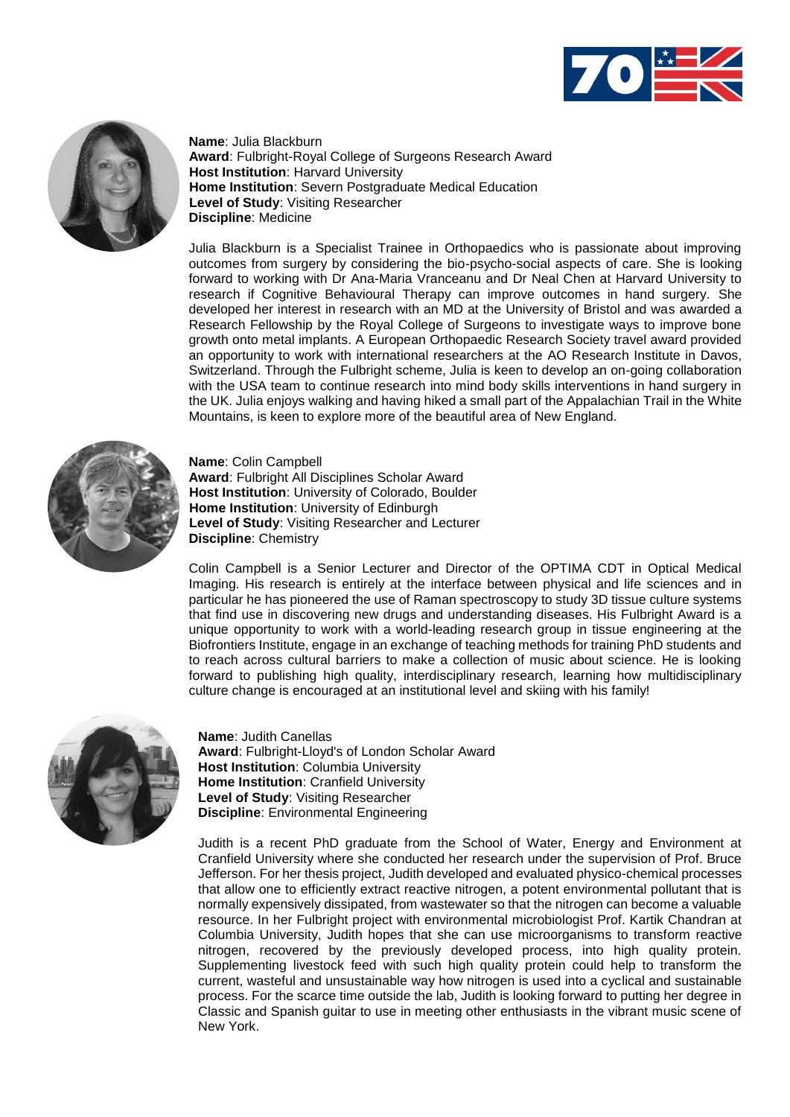



**Name**: Julia Blackburn **Award**: Fulbright-Royal College of Surgeons Research Award **Host Institution**: Harvard University **Home Institution**: Severn Postgraduate Medical Education **Level of Study**: Visiting Researcher **Discipline**: Medicine

Julia Blackburn is a Specialist Trainee in Orthopaedics who is passionate about improving outcomes from surgery by considering the bio-psycho-social aspects of care. She is looking forward to working with Dr Ana-Maria Vranceanu and Dr Neal Chen at Harvard University to research if Cognitive Behavioural Therapy can improve outcomes in hand surgery. She developed her interest in research with an MD at the University of Bristol and was awarded a Research Fellowship by the Royal College of Surgeons to investigate ways to improve bone growth onto metal implants. A European Orthopaedic Research Society travel award provided an opportunity to work with international researchers at the AO Research Institute in Davos, Switzerland. Through the Fulbright scheme, Julia is keen to develop an on-going collaboration with the USA team to continue research into mind body skills interventions in hand surgery in the UK. Julia enjoys walking and having hiked a small part of the Appalachian Trail in the White Mountains, is keen to explore more of the beautiful area of New England.



**Name**: Colin Campbell **Award**: Fulbright All Disciplines Scholar Award **Host Institution**: University of Colorado, Boulder **Home Institution**: University of Edinburgh **Level of Study**: Visiting Researcher and Lecturer **Discipline**: Chemistry

Colin Campbell is a Senior Lecturer and Director of the OPTIMA CDT in Optical Medical Imaging. His research is entirely at the interface between physical and life sciences and in particular he has pioneered the use of Raman spectroscopy to study 3D tissue culture systems that find use in discovering new drugs and understanding diseases. His Fulbright Award is a unique opportunity to work with a world-leading research group in tissue engineering at the Biofrontiers Institute, engage in an exchange of teaching methods for training PhD students and to reach across cultural barriers to make a collection of music about science. He is looking forward to publishing high quality, interdisciplinary research, learning how multidisciplinary culture change is encouraged at an institutional level and skiing with his family!



**Name**: Judith Canellas **Award**: Fulbright-Lloyd's of London Scholar Award **Host Institution**: Columbia University **Home Institution**: Cranfield University **Level of Study**: Visiting Researcher **Discipline**: Environmental Engineering

Judith is a recent PhD graduate from the School of Water, Energy and Environment at Cranfield University where she conducted her research under the supervision of Prof. Bruce Jefferson. For her thesis project, Judith developed and evaluated physico-chemical processes that allow one to efficiently extract reactive nitrogen, a potent environmental pollutant that is normally expensively dissipated, from wastewater so that the nitrogen can become a valuable resource. In her Fulbright project with environmental microbiologist Prof. Kartik Chandran at Columbia University, Judith hopes that she can use microorganisms to transform reactive nitrogen, recovered by the previously developed process, into high quality protein. Supplementing livestock feed with such high quality protein could help to transform the current, wasteful and unsustainable way how nitrogen is used into a cyclical and sustainable process. For the scarce time outside the lab, Judith is looking forward to putting her degree in Classic and Spanish guitar to use in meeting other enthusiasts in the vibrant music scene of New York.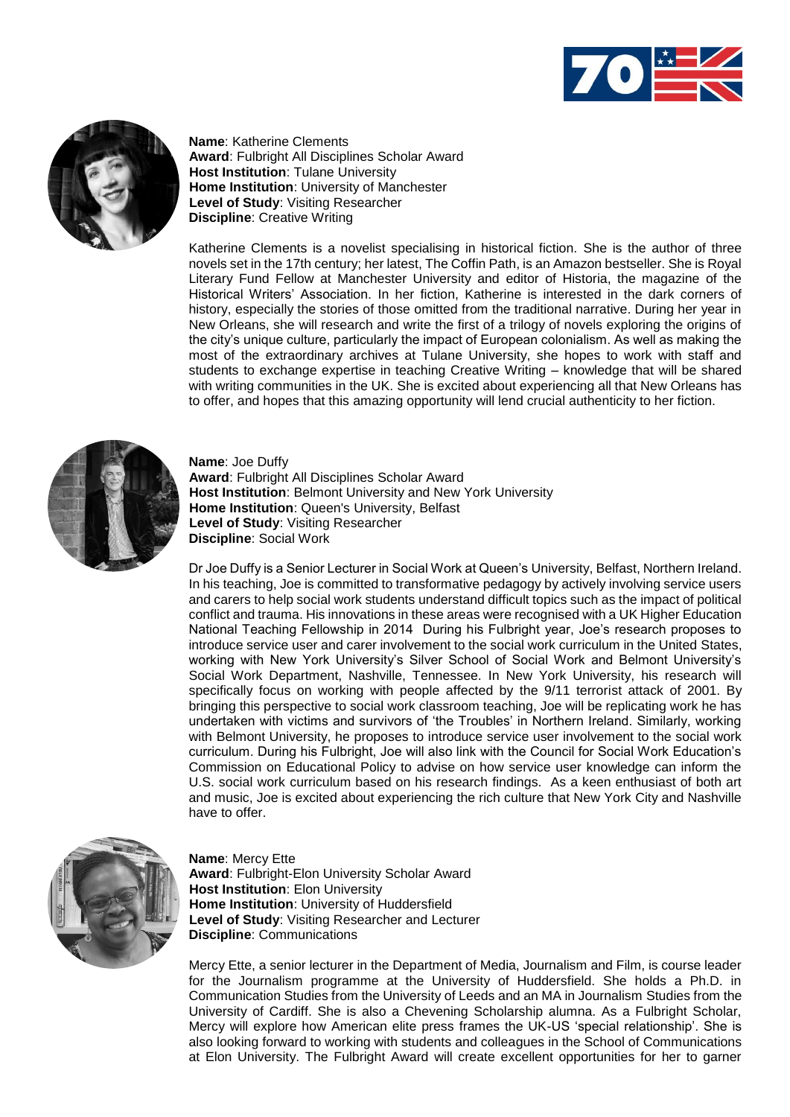



**Name**: Katherine Clements **Award**: Fulbright All Disciplines Scholar Award **Host Institution**: Tulane University **Home Institution**: University of Manchester **Level of Study**: Visiting Researcher **Discipline**: Creative Writing

Katherine Clements is a novelist specialising in historical fiction. She is the author of three novels set in the 17th century; her latest, The Coffin Path, is an Amazon bestseller. She is Royal Literary Fund Fellow at Manchester University and editor of Historia, the magazine of the Historical Writers' Association. In her fiction, Katherine is interested in the dark corners of history, especially the stories of those omitted from the traditional narrative. During her year in New Orleans, she will research and write the first of a trilogy of novels exploring the origins of the city's unique culture, particularly the impact of European colonialism. As well as making the most of the extraordinary archives at Tulane University, she hopes to work with staff and students to exchange expertise in teaching Creative Writing – knowledge that will be shared with writing communities in the UK. She is excited about experiencing all that New Orleans has to offer, and hopes that this amazing opportunity will lend crucial authenticity to her fiction.



**Name**: Joe Duffy **Award**: Fulbright All Disciplines Scholar Award **Host Institution**: Belmont University and New York University **Home Institution**: Queen's University, Belfast **Level of Study**: Visiting Researcher **Discipline**: Social Work

Dr Joe Duffy is a Senior Lecturer in Social Work at Queen's University, Belfast, Northern Ireland. In his teaching, Joe is committed to transformative pedagogy by actively involving service users and carers to help social work students understand difficult topics such as the impact of political conflict and trauma. His innovations in these areas were recognised with a UK Higher Education National Teaching Fellowship in 2014 During his Fulbright year, Joe's research proposes to introduce service user and carer involvement to the social work curriculum in the United States, working with New York University's Silver School of Social Work and Belmont University's Social Work Department, Nashville, Tennessee. In New York University, his research will specifically focus on working with people affected by the 9/11 terrorist attack of 2001. By bringing this perspective to social work classroom teaching, Joe will be replicating work he has undertaken with victims and survivors of 'the Troubles' in Northern Ireland. Similarly, working with Belmont University, he proposes to introduce service user involvement to the social work curriculum. During his Fulbright, Joe will also link with the Council for Social Work Education's Commission on Educational Policy to advise on how service user knowledge can inform the U.S. social work curriculum based on his research findings. As a keen enthusiast of both art and music, Joe is excited about experiencing the rich culture that New York City and Nashville have to offer.



**Name**: Mercy Ette **Award**: Fulbright-Elon University Scholar Award **Host Institution**: Elon University **Home Institution**: University of Huddersfield **Level of Study**: Visiting Researcher and Lecturer **Discipline**: Communications

Mercy Ette, a senior lecturer in the Department of Media, Journalism and Film, is course leader for the Journalism programme at the University of Huddersfield. She holds a Ph.D. in Communication Studies from the University of Leeds and an MA in Journalism Studies from the University of Cardiff. She is also a Chevening Scholarship alumna. As a Fulbright Scholar, Mercy will explore how American elite press frames the UK-US 'special relationship'. She is also looking forward to working with students and colleagues in the School of Communications at Elon University. The Fulbright Award will create excellent opportunities for her to garner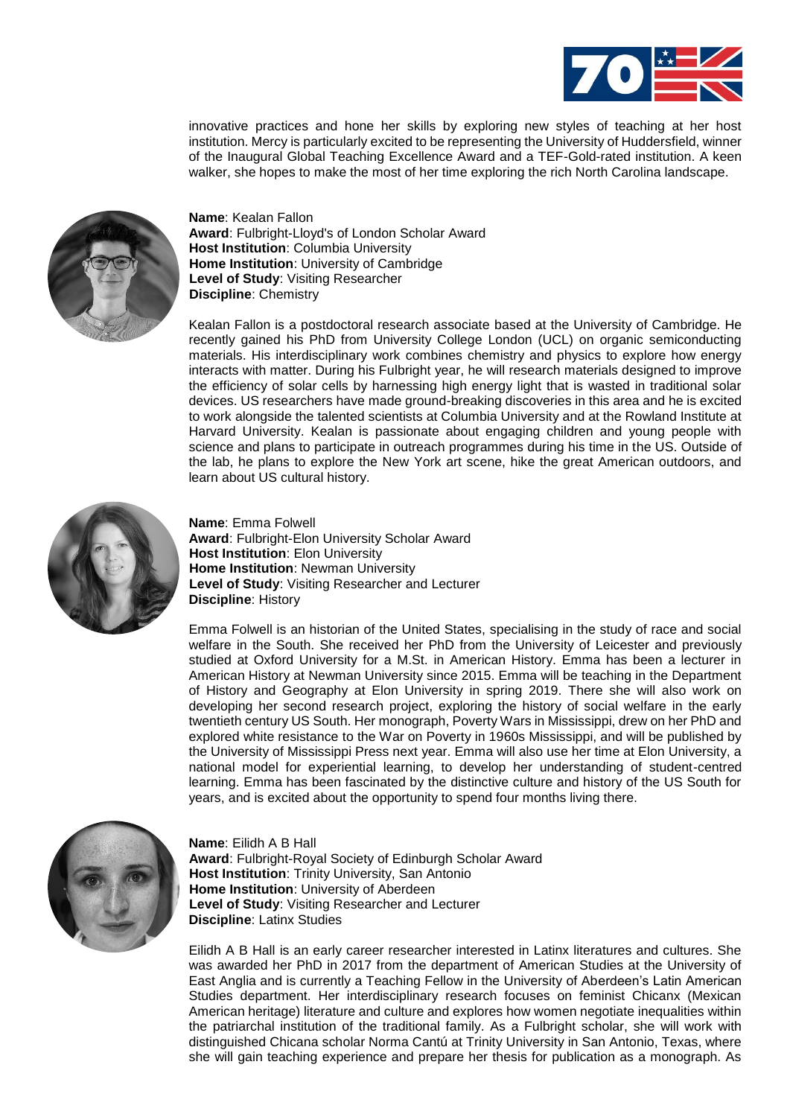

innovative practices and hone her skills by exploring new styles of teaching at her host institution. Mercy is particularly excited to be representing the University of Huddersfield, winner of the Inaugural Global Teaching Excellence Award and a TEF-Gold-rated institution. A keen walker, she hopes to make the most of her time exploring the rich North Carolina landscape.



**Name**: Kealan Fallon **Award**: Fulbright-Lloyd's of London Scholar Award **Host Institution**: Columbia University **Home Institution**: University of Cambridge **Level of Study**: Visiting Researcher **Discipline**: Chemistry

Kealan Fallon is a postdoctoral research associate based at the University of Cambridge. He recently gained his PhD from University College London (UCL) on organic semiconducting materials. His interdisciplinary work combines chemistry and physics to explore how energy interacts with matter. During his Fulbright year, he will research materials designed to improve the efficiency of solar cells by harnessing high energy light that is wasted in traditional solar devices. US researchers have made ground-breaking discoveries in this area and he is excited to work alongside the talented scientists at Columbia University and at the Rowland Institute at Harvard University. Kealan is passionate about engaging children and young people with science and plans to participate in outreach programmes during his time in the US. Outside of the lab, he plans to explore the New York art scene, hike the great American outdoors, and learn about US cultural history.



**Name**: Emma Folwell **Award**: Fulbright-Elon University Scholar Award **Host Institution**: Elon University **Home Institution**: Newman University **Level of Study**: Visiting Researcher and Lecturer **Discipline**: History

Emma Folwell is an historian of the United States, specialising in the study of race and social welfare in the South. She received her PhD from the University of Leicester and previously studied at Oxford University for a M.St. in American History. Emma has been a lecturer in American History at Newman University since 2015. Emma will be teaching in the Department of History and Geography at Elon University in spring 2019. There she will also work on developing her second research project, exploring the history of social welfare in the early twentieth century US South. Her monograph, Poverty Wars in Mississippi, drew on her PhD and explored white resistance to the War on Poverty in 1960s Mississippi, and will be published by the University of Mississippi Press next year. Emma will also use her time at Elon University, a national model for experiential learning, to develop her understanding of student-centred learning. Emma has been fascinated by the distinctive culture and history of the US South for years, and is excited about the opportunity to spend four months living there.



**Name**: Eilidh A B Hall **Award**: Fulbright-Royal Society of Edinburgh Scholar Award **Host Institution**: Trinity University, San Antonio **Home Institution**: University of Aberdeen **Level of Study**: Visiting Researcher and Lecturer **Discipline**: Latinx Studies

Eilidh A B Hall is an early career researcher interested in Latinx literatures and cultures. She was awarded her PhD in 2017 from the department of American Studies at the University of East Anglia and is currently a Teaching Fellow in the University of Aberdeen's Latin American Studies department. Her interdisciplinary research focuses on feminist Chicanx (Mexican American heritage) literature and culture and explores how women negotiate inequalities within the patriarchal institution of the traditional family. As a Fulbright scholar, she will work with distinguished Chicana scholar Norma Cantú at Trinity University in San Antonio, Texas, where she will gain teaching experience and prepare her thesis for publication as a monograph. As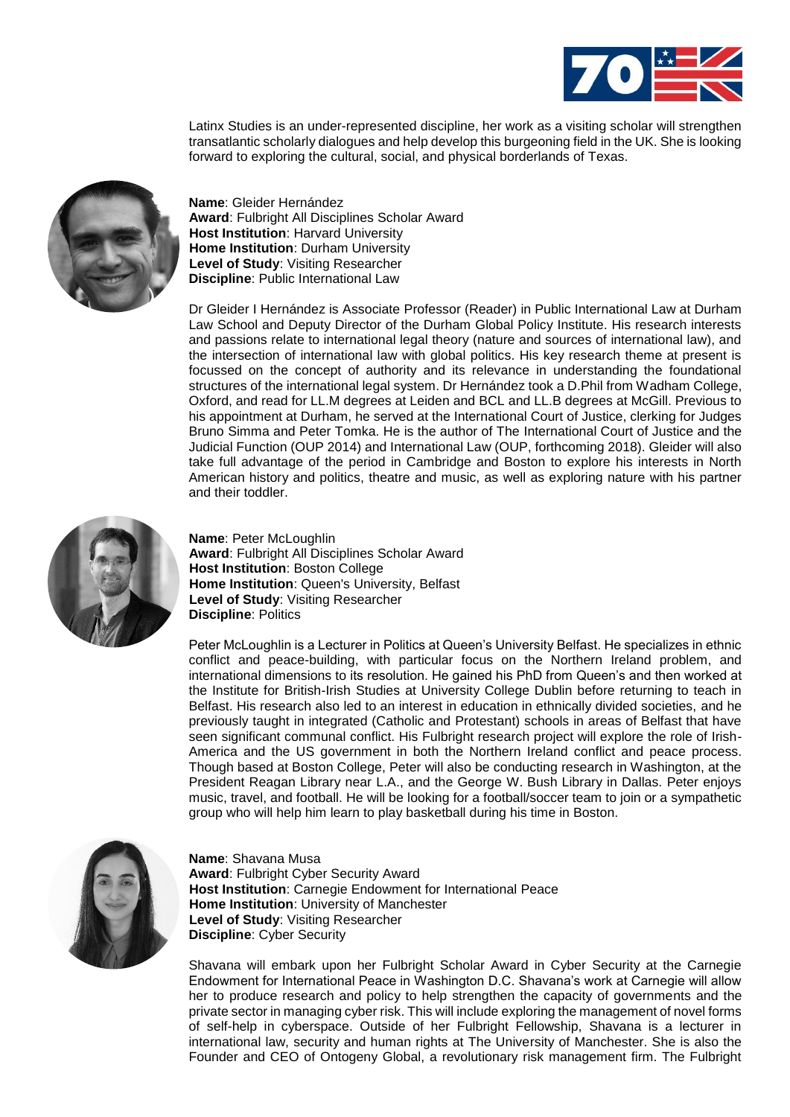

Latinx Studies is an under-represented discipline, her work as a visiting scholar will strengthen transatlantic scholarly dialogues and help develop this burgeoning field in the UK. She is looking forward to exploring the cultural, social, and physical borderlands of Texas.



**Name**: Gleider Hernández **Award**: Fulbright All Disciplines Scholar Award **Host Institution**: Harvard University **Home Institution**: Durham University **Level of Study**: Visiting Researcher **Discipline**: Public International Law

Dr Gleider I Hernández is Associate Professor (Reader) in Public International Law at Durham Law School and Deputy Director of the Durham Global Policy Institute. His research interests and passions relate to international legal theory (nature and sources of international law), and the intersection of international law with global politics. His key research theme at present is focussed on the concept of authority and its relevance in understanding the foundational structures of the international legal system. Dr Hernández took a D.Phil from Wadham College, Oxford, and read for LL.M degrees at Leiden and BCL and LL.B degrees at McGill. Previous to his appointment at Durham, he served at the International Court of Justice, clerking for Judges Bruno Simma and Peter Tomka. He is the author of The International Court of Justice and the Judicial Function (OUP 2014) and International Law (OUP, forthcoming 2018). Gleider will also take full advantage of the period in Cambridge and Boston to explore his interests in North American history and politics, theatre and music, as well as exploring nature with his partner and their toddler.



**Name**: Peter McLoughlin **Award**: Fulbright All Disciplines Scholar Award **Host Institution**: Boston College **Home Institution**: Queen's University, Belfast **Level of Study**: Visiting Researcher **Discipline**: Politics

Peter McLoughlin is a Lecturer in Politics at Queen's University Belfast. He specializes in ethnic conflict and peace-building, with particular focus on the Northern Ireland problem, and international dimensions to its resolution. He gained his PhD from Queen's and then worked at the Institute for British-Irish Studies at University College Dublin before returning to teach in Belfast. His research also led to an interest in education in ethnically divided societies, and he previously taught in integrated (Catholic and Protestant) schools in areas of Belfast that have seen significant communal conflict. His Fulbright research project will explore the role of Irish-America and the US government in both the Northern Ireland conflict and peace process. Though based at Boston College, Peter will also be conducting research in Washington, at the President Reagan Library near L.A., and the George W. Bush Library in Dallas. Peter enjoys music, travel, and football. He will be looking for a football/soccer team to join or a sympathetic group who will help him learn to play basketball during his time in Boston.



**Name**: Shavana Musa **Award**: Fulbright Cyber Security Award **Host Institution**: Carnegie Endowment for International Peace **Home Institution**: University of Manchester **Level of Study**: Visiting Researcher **Discipline**: Cyber Security

Shavana will embark upon her Fulbright Scholar Award in Cyber Security at the Carnegie Endowment for International Peace in Washington D.C. Shavana's work at Carnegie will allow her to produce research and policy to help strengthen the capacity of governments and the private sector in managing cyber risk. This will include exploring the management of novel forms of self-help in cyberspace. Outside of her Fulbright Fellowship, Shavana is a lecturer in international law, security and human rights at The University of Manchester. She is also the Founder and CEO of Ontogeny Global, a revolutionary risk management firm. The Fulbright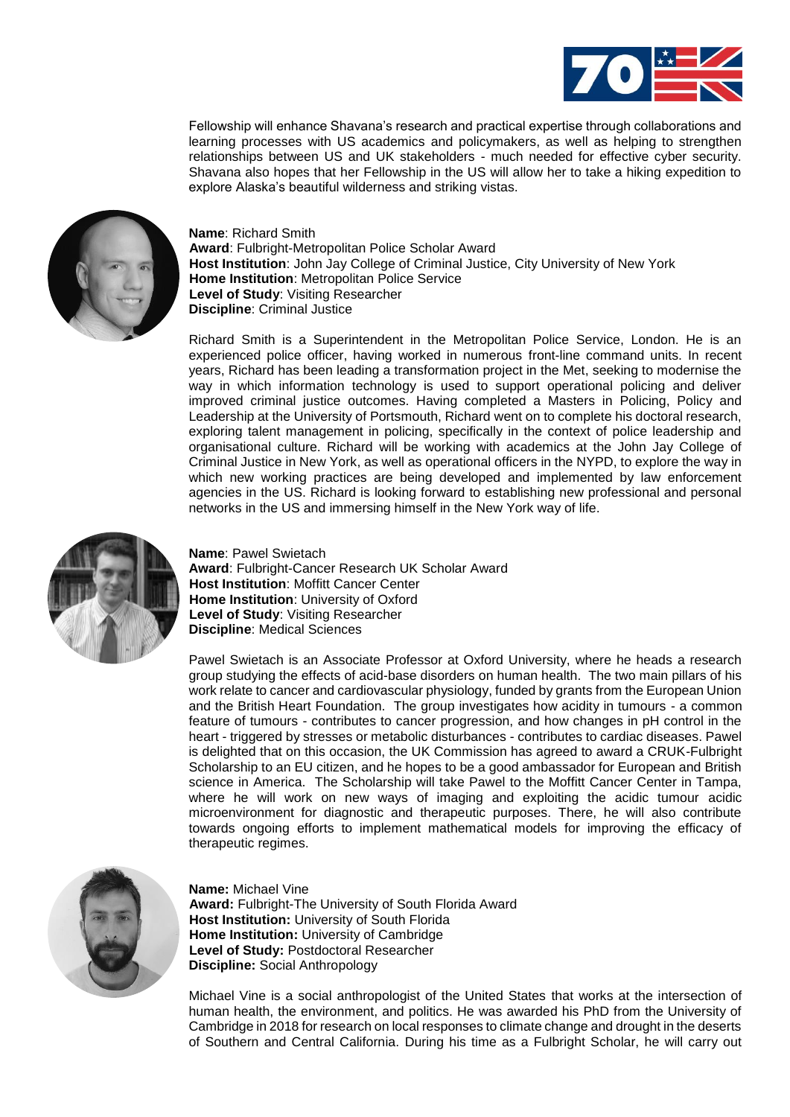

Fellowship will enhance Shavana's research and practical expertise through collaborations and learning processes with US academics and policymakers, as well as helping to strengthen relationships between US and UK stakeholders - much needed for effective cyber security. Shavana also hopes that her Fellowship in the US will allow her to take a hiking expedition to explore Alaska's beautiful wilderness and striking vistas.



**Name**: Richard Smith **Award**: Fulbright-Metropolitan Police Scholar Award **Host Institution**: John Jay College of Criminal Justice, City University of New York **Home Institution**: Metropolitan Police Service **Level of Study**: Visiting Researcher **Discipline**: Criminal Justice

Richard Smith is a Superintendent in the Metropolitan Police Service, London. He is an experienced police officer, having worked in numerous front-line command units. In recent years, Richard has been leading a transformation project in the Met, seeking to modernise the way in which information technology is used to support operational policing and deliver improved criminal justice outcomes. Having completed a Masters in Policing, Policy and Leadership at the University of Portsmouth, Richard went on to complete his doctoral research, exploring talent management in policing, specifically in the context of police leadership and organisational culture. Richard will be working with academics at the John Jay College of Criminal Justice in New York, as well as operational officers in the NYPD, to explore the way in which new working practices are being developed and implemented by law enforcement agencies in the US. Richard is looking forward to establishing new professional and personal networks in the US and immersing himself in the New York way of life.



**Name**: Pawel Swietach **Award**: Fulbright-Cancer Research UK Scholar Award **Host Institution**: Moffitt Cancer Center **Home Institution**: University of Oxford **Level of Study**: Visiting Researcher **Discipline**: Medical Sciences

Pawel Swietach is an Associate Professor at Oxford University, where he heads a research group studying the effects of acid-base disorders on human health. The two main pillars of his work relate to cancer and cardiovascular physiology, funded by grants from the European Union and the British Heart Foundation. The group investigates how acidity in tumours - a common feature of tumours - contributes to cancer progression, and how changes in pH control in the heart - triggered by stresses or metabolic disturbances - contributes to cardiac diseases. Pawel is delighted that on this occasion, the UK Commission has agreed to award a CRUK-Fulbright Scholarship to an EU citizen, and he hopes to be a good ambassador for European and British science in America. The Scholarship will take Pawel to the Moffitt Cancer Center in Tampa, where he will work on new ways of imaging and exploiting the acidic tumour acidic microenvironment for diagnostic and therapeutic purposes. There, he will also contribute towards ongoing efforts to implement mathematical models for improving the efficacy of therapeutic regimes.



**Name:** Michael Vine **Award:** Fulbright-The University of South Florida Award **Host Institution:** University of South Florida **Home Institution:** University of Cambridge **Level of Study:** Postdoctoral Researcher **Discipline:** Social Anthropology

Michael Vine is a social anthropologist of the United States that works at the intersection of human health, the environment, and politics. He was awarded his PhD from the University of Cambridge in 2018 for research on local responses to climate change and drought in the deserts of Southern and Central California. During his time as a Fulbright Scholar, he will carry out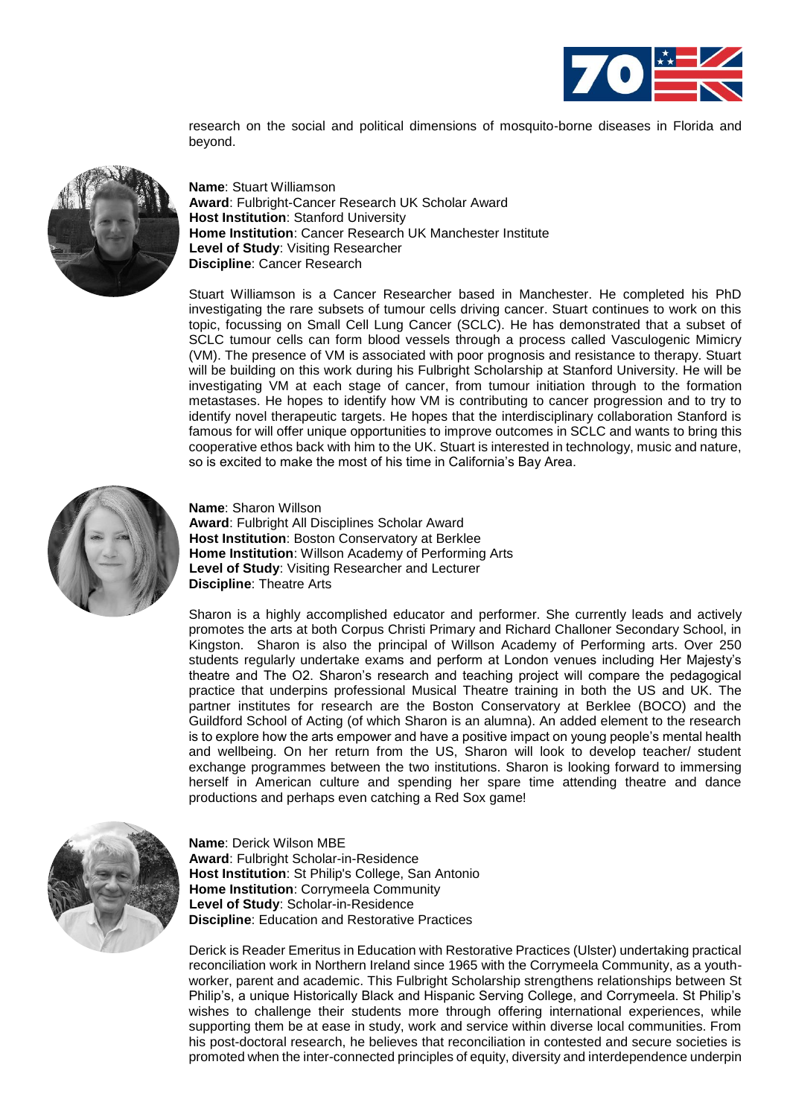

research on the social and political dimensions of mosquito-borne diseases in Florida and beyond.



**Name**: Stuart Williamson **Award**: Fulbright-Cancer Research UK Scholar Award **Host Institution**: Stanford University **Home Institution**: Cancer Research UK Manchester Institute **Level of Study**: Visiting Researcher **Discipline**: Cancer Research

Stuart Williamson is a Cancer Researcher based in Manchester. He completed his PhD investigating the rare subsets of tumour cells driving cancer. Stuart continues to work on this topic, focussing on Small Cell Lung Cancer (SCLC). He has demonstrated that a subset of SCLC tumour cells can form blood vessels through a process called Vasculogenic Mimicry (VM). The presence of VM is associated with poor prognosis and resistance to therapy. Stuart will be building on this work during his Fulbright Scholarship at Stanford University. He will be investigating VM at each stage of cancer, from tumour initiation through to the formation metastases. He hopes to identify how VM is contributing to cancer progression and to try to identify novel therapeutic targets. He hopes that the interdisciplinary collaboration Stanford is famous for will offer unique opportunities to improve outcomes in SCLC and wants to bring this cooperative ethos back with him to the UK. Stuart is interested in technology, music and nature, so is excited to make the most of his time in California's Bay Area.



**Name**: Sharon Willson **Award**: Fulbright All Disciplines Scholar Award **Host Institution**: Boston Conservatory at Berklee **Home Institution**: Willson Academy of Performing Arts **Level of Study**: Visiting Researcher and Lecturer **Discipline**: Theatre Arts

Sharon is a highly accomplished educator and performer. She currently leads and actively promotes the arts at both Corpus Christi Primary and Richard Challoner Secondary School, in Kingston. Sharon is also the principal of Willson Academy of Performing arts. Over 250 students regularly undertake exams and perform at London venues including Her Majesty's theatre and The O2. Sharon's research and teaching project will compare the pedagogical practice that underpins professional Musical Theatre training in both the US and UK. The partner institutes for research are the Boston Conservatory at Berklee (BOCO) and the Guildford School of Acting (of which Sharon is an alumna). An added element to the research is to explore how the arts empower and have a positive impact on young people's mental health and wellbeing. On her return from the US, Sharon will look to develop teacher/ student exchange programmes between the two institutions. Sharon is looking forward to immersing herself in American culture and spending her spare time attending theatre and dance productions and perhaps even catching a Red Sox game!



**Name**: Derick Wilson MBE **Award**: Fulbright Scholar-in-Residence **Host Institution**: St Philip's College, San Antonio **Home Institution**: Corrymeela Community **Level of Study**: Scholar-in-Residence **Discipline**: Education and Restorative Practices

Derick is Reader Emeritus in Education with Restorative Practices (Ulster) undertaking practical reconciliation work in Northern Ireland since 1965 with the Corrymeela Community, as a youthworker, parent and academic. This Fulbright Scholarship strengthens relationships between St Philip's, a unique Historically Black and Hispanic Serving College, and Corrymeela. St Philip's wishes to challenge their students more through offering international experiences, while supporting them be at ease in study, work and service within diverse local communities. From his post-doctoral research, he believes that reconciliation in contested and secure societies is promoted when the inter-connected principles of equity, diversity and interdependence underpin